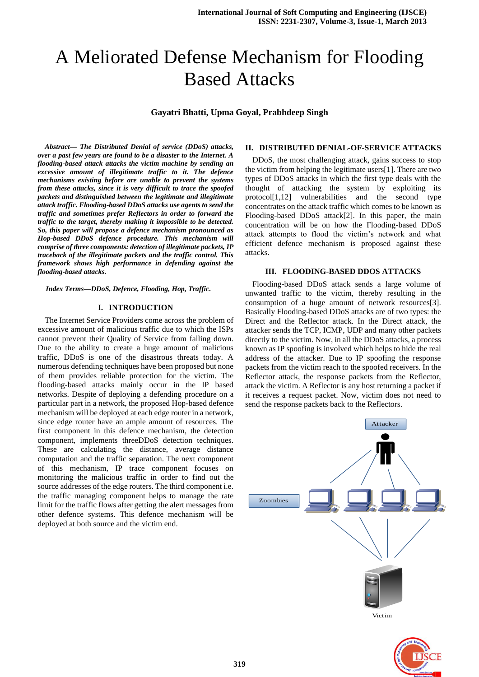# A Meliorated Defense Mechanism for Flooding Based Attacks

**Gayatri Bhatti, Upma Goyal, Prabhdeep Singh**

*Abstract— The Distributed Denial of service (DDoS) attacks, over a past few years are found to be a disaster to the Internet. A flooding-based attack attacks the victim machine by sending an excessive amount of illegitimate traffic to it. The defence mechanisms existing before are unable to prevent the systems from these attacks, since it is very difficult to trace the spoofed packets and distinguished between the legitimate and illegitimate attack traffic. Flooding-based DDoS attacks use agents to send the traffic and sometimes prefer Reflectors in order to forward the traffic to the target, thereby making it impossible to be detected. So, this paper will propose a defence mechanism pronounced as Hop-based DDoS defence procedure. This mechanism will comprise of three components: detection of illegitimate packets, IP traceback of the illegitimate packets and the traffic control. This framework shows high performance in defending against the flooding-based attacks.* 

*Index Terms—DDoS, Defence, Flooding, Hop, Traffic.* 

#### **I. INTRODUCTION**

The Internet Service Providers come across the problem of excessive amount of malicious traffic due to which the ISPs cannot prevent their Quality of Service from falling down. Due to the ability to create a huge amount of malicious traffic, DDoS is one of the disastrous threats today. A numerous defending techniques have been proposed but none of them provides reliable protection for the victim. The flooding-based attacks mainly occur in the IP based networks. Despite of deploying a defending procedure on a particular part in a network, the proposed Hop-based defence mechanism will be deployed at each edge router in a network, since edge router have an ample amount of resources. The first component in this defence mechanism, the detection component, implements threeDDoS detection techniques. These are calculating the distance, average distance computation and the traffic separation. The next component of this mechanism, IP trace component focuses on monitoring the malicious traffic in order to find out the source addresses of the edge routers. The third component i.e. the traffic managing component helps to manage the rate limit for the traffic flows after getting the alert messages from other defence systems. This defence mechanism will be deployed at both source and the victim end.

#### **II. DISTRIBUTED DENIAL-OF-SERVICE ATTACKS**

DDoS, the most challenging attack, gains success to stop the victim from helping the legitimate users[1]. There are two types of DDoS attacks in which the first type deals with the thought of attacking the system by exploiting its protocol[1,12] vulnerabilities and the second type concentrates on the attack traffic which comes to be known as Flooding-based DDoS attack[2]. In this paper, the main concentration will be on how the Flooding-based DDoS attack attempts to flood the victim's network and what efficient defence mechanism is proposed against these attacks.

#### **III. FLOODING-BASED DDOS ATTACKS**

Flooding-based DDoS attack sends a large volume of unwanted traffic to the victim, thereby resulting in the consumption of a huge amount of network resources[3]. Basically Flooding-based DDoS attacks are of two types: the Direct and the Reflector attack. In the Direct attack, the attacker sends the TCP, ICMP, UDP and many other packets directly to the victim. Now, in all the DDoS attacks, a process known as IP spoofing is involved which helps to hide the real address of the attacker. Due to IP spoofing the response packets from the victim reach to the spoofed receivers. In the Reflector attack, the response packets from the Reflector, attack the victim. A Reflector is any host returning a packet if it receives a request packet. Now, victim does not need to send the response packets back to the Reflectors.



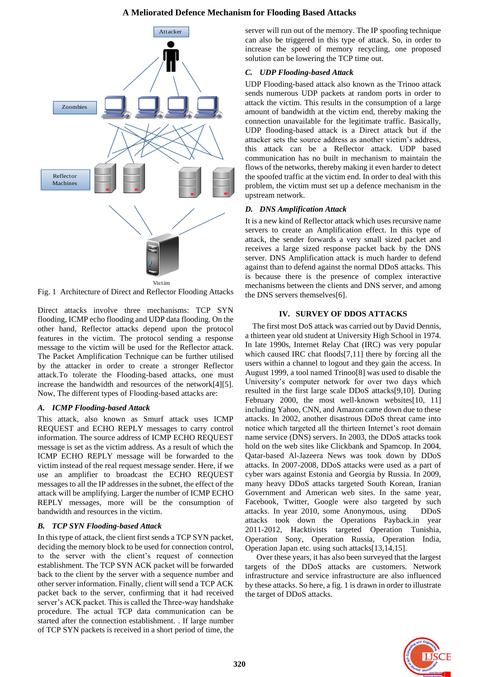## **A Meliorated Defence Mechanism for Flooding Based Attacks**



Fig. 1 Architecture of Direct and Reflector Flooding Attacks

Direct attacks involve three mechanisms: TCP SYN flooding, ICMP echo flooding and UDP data flooding. On the other hand, Reflector attacks depend upon the protocol features in the victim. The protocol sending a response message to the victim will be used for the Reflector attack. The Packet Amplification Technique can be further utilised by the attacker in order to create a stronger Reflector attack.To tolerate the Flooding-based attacks, one must increase the bandwidth and resources of the network[4][5]. Now, The different types of Flooding-based attacks are:

# *A. ICMP Flooding-based Attack*

This attack, also known as Smurf attack uses ICMP REQUEST and ECHO REPLY messages to carry control information. The source address of ICMP ECHO REQUEST message is set as the victim address. As a result of which the ICMP ECHO REPLY message will be forwarded to the victim instead of the real request message sender. Here, if we use an amplifier to broadcast the ECHO REQUEST messages to all the IP addresses in the subnet, the effect of the attack will be amplifying. Larger the number of ICMP ECHO REPLY messages, more will be the consumption of bandwidth and resources in the victim.

# *B. TCP SYN Flooding-based Attack*

In this type of attack, the client first sends a TCP SYN packet, deciding the memory block to be used for connection control, to the server with the client's request of connection establishment. The TCP SYN ACK packet will be forwarded back to the client by the server with a sequence number and other server information. Finally, client will send a TCP ACK packet back to the server, confirming that it had received server's ACK packet. This is called the Three-way handshake procedure. The actual TCP data communication can be started after the connection establishment. . If large number of TCP SYN packets is received in a short period of time, the server will run out of the memory. The IP spoofing technique can also be triggered in this type of attack. So, in order to increase the speed of memory recycling, one proposed solution can be lowering the TCP time out.

# *C. UDP Flooding-based Attack*

UDP Flooding-based attack also known as the Trinoo attack sends numerous UDP packets at random ports in order to attack the victim. This results in the consumption of a large amount of bandwidth at the victim end, thereby making the connection unavailable for the legitimate traffic. Basically, UDP flooding-based attack is a Direct attack but if the attacker sets the source address as another victim's address, this attack can be a Reflector attack. UDP based communication has no built in mechanism to maintain the flows of the networks, thereby making it even harder to detect the spoofed traffic at the victim end. In order to deal with this problem, the victim must set up a defence mechanism in the upstream network.

# *D. DNS Amplification Attack*

It is a new kind of Reflector attack which uses recursive name servers to create an Amplification effect. In this type of attack, the sender forwards a very small sized packet and receives a large sized response packet back by the DNS server. DNS Amplification attack is much harder to defend against than to defend against the normal DDoS attacks. This is because there is the presence of complex interactive mechanisms between the clients and DNS server, and among the DNS servers themselves[6].

# **IV. SURVEY OF DDOS ATTACKS**

The first most DoS attack was carried out by David Dennis, a thirteen year old student at University High School in 1974. In late 1990s, Internet Relay Chat (IRC) was very popular which caused IRC chat floods[7,11] there by forcing all the users within a channel to logout and they gain the access. In August 1999, a tool named Trinoo[8] was used to disable the University's computer network for over two days which resulted in the first large scale DDoS attacks[9,10]. During February 2000, the most well-known websites[10, 11] including Yahoo, CNN, and Amazon came down due to these attacks. In 2002, another disastrous DDoS threat came into notice which targeted all the thirteen Internet's root domain name service (DNS) servers. In 2003, the DDoS attacks took hold on the web sites like Clickbank and Spamcop. In 2004, Qatar-based Al-Jazeera News was took down by DDoS attacks. In 2007-2008, DDoS attacks were used as a part of cyber wars against Estonia and Georgia by Russia. In 2009, many heavy DDoS attacks targeted South Korean, Iranian Government and American web sites. In the same year, Facebook, Twitter, Google were also targeted by such attacks. In year 2010, some Anonymous, using DDoS attacks took down the Operations Payback.in year 2011-2012, Hacktivists targeted Operation Tunishia, Operation Sony, Operation Russia, Operation India, Operation Japan etc. using such attacks[13,14,15].

 Over these years, it has also been surveyed that the largest targets of the DDoS attacks are customers. Network infrastructure and service infrastructure are also influenced by these attacks. So here, a fig. 1 is drawn in order to illustrate the target of DDoS attacks.

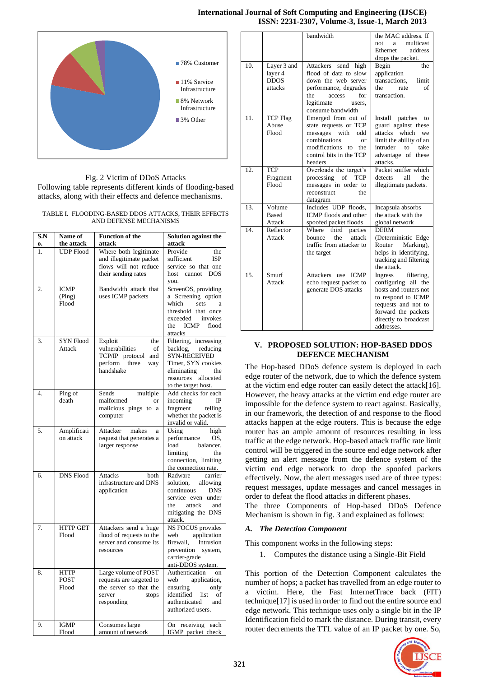## **International Journal of Soft Computing and Engineering (IJSCE) ISSN: 2231-2307, Volume-3, Issue-1, March 2013**



Fig. 2 Victim of DDoS Attacks Following table represents different kinds of flooding-based attacks, along with their effects and defence mechanisms.

#### TABLE I. FLOODING-BASED DDOS ATTACKS, THEIR EFFECTS AND DEFENSE MECHANISMS

| S.N      | Name of                        | <b>Function of the</b>                       | Solution against the                             |
|----------|--------------------------------|----------------------------------------------|--------------------------------------------------|
| 0.<br>1. | the attack<br><b>UDP Flood</b> | attack<br>Where both legitimate              | attack<br>Provide<br>the                         |
|          |                                | and illegitimate packet                      | sufficient<br><b>ISP</b>                         |
|          |                                | flows will not reduce<br>their sending rates | service so that one<br><b>DOS</b><br>host cannot |
|          |                                |                                              | you.                                             |
| 2.       | <b>ICMP</b>                    | Bandwidth attack that                        | ScreenOS, providing                              |
|          | (Ping)                         | uses ICMP packets                            | a Screening option                               |
|          | Flood                          |                                              | which<br>sets<br>a<br>threshold that once        |
|          |                                |                                              | exceeded invokes                                 |
|          |                                |                                              | ICMP<br>flood<br>the                             |
|          |                                |                                              | attacks                                          |
| 3.       | <b>SYN Flood</b><br>Attack     | Exploit<br>the<br>vulnerabilities<br>of      | Filtering, increasing<br>backlog,<br>reducing    |
|          |                                | TCP/IP protocol<br>and                       | <b>SYN-RECEIVED</b>                              |
|          |                                | perform<br>three<br>way                      | Timer, SYN cookies                               |
|          |                                | handshake                                    | eliminating<br>the                               |
|          |                                |                                              | resources allocated<br>to the target host.       |
| 4.       | Ping of                        | Sends<br>multiple                            | Add checks for each                              |
|          | death                          | malformed<br>or                              | IP<br>incoming                                   |
|          |                                | malicious pings to a                         | fragment<br>telling                              |
|          |                                | computer                                     | whether the packet is<br>invalid or valid.       |
| 5.       | Amplificati                    | Attacker makes<br>a                          | Using<br>high                                    |
|          | on attack                      | request that generates a                     | performance<br>OS.                               |
|          |                                | larger response                              | load<br>balancer,                                |
|          |                                |                                              | limiting<br>the<br>connection, limiting          |
|          |                                |                                              | the connection rate.                             |
| 6.       | <b>DNS Flood</b>               | Attacks<br>both                              | Radware<br>carrier                               |
|          |                                | infrastructure and DNS                       | solution,<br>allowing                            |
|          |                                | application                                  | continuous<br><b>DNS</b><br>service even under   |
|          |                                |                                              | attack<br>the<br>and                             |
|          |                                |                                              | mitigating the DNS                               |
| 7.       | <b>HTTP GET</b>                | Attackers send a huge                        | attack.<br>NS FOCUS provides                     |
|          | Flood                          | flood of requests to the                     | web<br>application                               |
|          |                                | server and consume its                       | firewall, Intrusion                              |
|          |                                | resources                                    | prevention<br>system,                            |
|          |                                |                                              | carrier-grade<br>anti-DDOS system.               |
| 8.       | <b>HTTP</b>                    | Large volume of POST                         | Authentication<br>on                             |
|          | <b>POST</b>                    | requests are targeted to                     | web<br>application,                              |
|          | Flood                          | the server so that the<br>server<br>stops    | ensuring<br>only<br>identified list<br>of        |
|          |                                | responding                                   | authenticated<br>and                             |
|          |                                |                                              | authorized users.                                |
| 9.       | <b>IGMP</b>                    | Consumes large                               | On receiving each                                |
|          | Flood                          | amount of network                            | IGMP packet check                                |

|     |                          | bandwidth                                           | the MAC address. If                          |
|-----|--------------------------|-----------------------------------------------------|----------------------------------------------|
|     |                          |                                                     | multicast<br>not<br>a                        |
|     |                          |                                                     | Ethernet<br>address                          |
|     |                          |                                                     | drops the packet.                            |
| 10. | Layer 3 and              | Attackers send high                                 | Begin<br>the                                 |
|     | layer 4                  | flood of data to slow                               | application                                  |
|     | <b>DDOS</b>              | down the web server                                 | transactions,<br>limit                       |
|     | attacks                  | performance, degrades                               | of<br>the<br>rate                            |
|     |                          | the<br>for<br>access                                | transaction.                                 |
|     |                          | legitimate<br>users,                                |                                              |
| 11. |                          | consume bandwidth                                   |                                              |
|     | <b>TCP Flag</b><br>Abuse | Emerged from out of<br>state requests or TCP        | Install patches<br>to<br>guard against these |
|     | Flood                    | messages with<br>odd                                | attacks<br>which we                          |
|     |                          | combinations<br>or                                  | limit the ability of an                      |
|     |                          | modifications<br>the<br>to                          | intruder<br>take<br>to                       |
|     |                          | control bits in the TCP                             | advantage of these                           |
|     |                          | headers                                             | attacks.                                     |
| 12. | <b>TCP</b>               | Overloads the target's                              | Packet sniffer which                         |
|     | Fragment                 | processing of TCP                                   | the<br>detects<br>all                        |
|     | Flood                    | messages in order to                                | illegitimate packets.                        |
|     |                          | the<br>reconstruct                                  |                                              |
|     |                          | datagram                                            |                                              |
| 13. | Volume                   | Includes UDP floods,                                | Incapsula absorbs                            |
|     | <b>Based</b>             | ICMP floods and other                               | the attack with the                          |
|     | Attack                   | spoofed packet floods                               | global network                               |
| 14. | Reflector                | third<br>Where<br>parties                           | <b>DERM</b>                                  |
|     | Attack                   | the<br>bounce<br>attack<br>traffic from attacker to | (Deterministic Edge<br>Marking),<br>Router   |
|     |                          | the target                                          | helps in identifying,                        |
|     |                          |                                                     | tracking and filtering                       |
|     |                          |                                                     | the attack.                                  |
| 15. | Smurf                    | Attackers use<br><b>ICMP</b>                        | Ingress<br>filtering,                        |
|     | Attack                   | echo request packet to                              | configuring all the                          |
|     |                          | generate DOS attacks                                | hosts and routers not                        |
|     |                          |                                                     | to respond to ICMP                           |
|     |                          |                                                     | requests and not to                          |
|     |                          |                                                     | forward the packets                          |
|     |                          |                                                     | directly to broadcast                        |
|     |                          |                                                     | addresses.                                   |

## **V. PROPOSED SOLUTION: HOP-BASED DDOS DEFENCE MECHANISM**

The Hop-based DDoS defence system is deployed in each edge router of the network, due to which the defence system at the victim end edge router can easily detect the attack[16]. However, the heavy attacks at the victim end edge router are impossible for the defence system to react against. Basically, in our framework, the detection of and response to the flood attacks happen at the edge routers. This is because the edge router has an ample amount of resources resulting in less traffic at the edge network. Hop-based attack traffic rate limit control will be triggered in the source end edge network after getting an alert message from the defence system of the victim end edge network to drop the spoofed packets effectively. Now, the alert messages used are of three types: request messages, update messages and cancel messages in order to defeat the flood attacks in different phases.

The three Components of Hop-based DDoS Defence Mechanism is shown in fig. 3 and explained as follows:

# *A. The Detection Component*

This component works in the following steps:

1. Computes the distance using a Single-Bit Field

This portion of the Detection Component calculates the number of hops; a packet has travelled from an edge router to a victim. Here, the Fast InternetTrace back (FIT) technique[17] is used in order to find out the entire source end edge network. This technique uses only a single bit in the IP Identification field to mark the distance. During transit, every router decrements the TTL value of an IP packet by one. So,

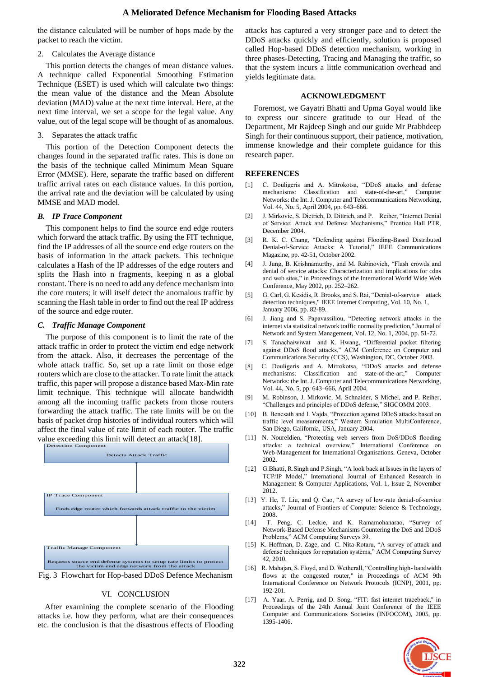the distance calculated will be number of hops made by the packet to reach the victim.

## 2. Calculates the Average distance

This portion detects the changes of mean distance values. A technique called Exponential Smoothing Estimation Technique (ESET) is used which will calculate two things: the mean value of the distance and the Mean Absolute deviation (MAD) value at the next time interval. Here, at the next time interval, we set a scope for the legal value. Any value, out of the legal scope will be thought of as anomalous.

## 3. Separates the attack traffic

This portion of the Detection Component detects the changes found in the separated traffic rates. This is done on the basis of the technique called Minimum Mean Square Error (MMSE). Here, separate the traffic based on different traffic arrival rates on each distance values. In this portion, the arrival rate and the deviation will be calculated by using MMSE and MAD model.

## *B. IP Trace Component*

This component helps to find the source end edge routers which forward the attack traffic. By using the FIT technique, find the IP addresses of all the source end edge routers on the basis of information in the attack packets. This technique calculates a Hash of the IP addresses of the edge routers and splits the Hash into n fragments, keeping n as a global constant. There is no need to add any defence mechanism into the core routers; it will itself detect the anomalous traffic by scanning the Hash table in order to find out the real IP address of the source and edge router.

## *C. Traffic Manage Component*

The purpose of this component is to limit the rate of the attack traffic in order to protect the victim end edge network from the attack. Also, it decreases the percentage of the whole attack traffic. So, set up a rate limit on those edge routers which are close to the attacker. To rate limit the attack traffic, this paper will propose a distance based Max-Min rate limit technique. This technique will allocate bandwidth among all the incoming traffic packets from those routers forwarding the attack traffic. The rate limits will be on the basis of packet drop histories of individual routers which will affect the final value of rate limit of each router. The traffic value exceeding this limit will detect an attack[18].





# VI. CONCLUSION

After examining the complete scenario of the Flooding attacks i.e. how they perform, what are their consequences etc. the conclusion is that the disastrous effects of Flooding attacks has captured a very stronger pace and to detect the DDoS attacks quickly and efficiently, solution is proposed called Hop-based DDoS detection mechanism, working in three phases-Detecting, Tracing and Managing the traffic, so that the system incurs a little communication overhead and yields legitimate data.

## **ACKNOWLEDGMENT**

Foremost, we Gayatri Bhatti and Upma Goyal would like to express our sincere gratitude to our Head of the Department, Mr Rajdeep Singh and our guide Mr Prabhdeep Singh for their continuous support, their patience, motivation, immense knowledge and their complete guidance for this research paper.

## **REFERENCES**

- [1] C. Douligeris and A. Mitrokotsa, "DDoS attacks and defense mechanisms: Classification and state-of-the-art," Computer Networks: the Int. J. Computer and Telecommunications Networking, Vol. 44, No. 5, April 2004, pp. 643–666.
- [2] J. Mirkovic, S. Dietrich, D. Dittrich, and P. Reiher, "Internet Denial of Service: Attack and Defense Mechanisms," Prentice Hall PTR, December 2004.
- [3] R. K. C. Chang, "Defending against Flooding-Based Distributed Denial-of-Service Attacks: A Tutorial," IEEE Communications Magazine, pp. 42-51, October 2002.
- [4] J. Jung, B. Krishnamurthy, and M. Rabinovich, "Flash crowds and denial of service attacks: Characterization and implications for cdns and web sites," in Proceedings of the International World Wide Web Conference, May 2002, pp. 252–262.
- [5] G. Carl, G. Kesidis, R. Brooks, and S. Rai, "Denial-of-service attack detection techniques," IEEE Internet Computing, Vol. 10, No. 1, January 2006, pp. 82-89.
- [6] J. Jiang and S. Papavassiliou, "Detecting network attacks in the internet via statistical network traffic normality prediction," Journal of Network and System Management, Vol. 12, No. 1, 2004, pp. 51-72.
- [7] S. Tanachaiwiwat and K. Hwang, "Differential packet filtering against DDoS flood attacks," ACM Conference on Computer and Communications Security (CCS), Washington, DC, October 2003.
- [8] C. Douligeris and A. Mitrokotsa, "DDoS attacks and defense mechanisms: Classification and state-of-the-art," Computer Networks: the Int. J. Computer and Telecommunications Networking, Vol. 44, No. 5, pp. 643–666, April 2004.
- [9] M. Robinson, J. Mirkovic, M. Schnaider, S Michel, and P. Reiher, "Challenges and principles of DDoS defense," SIGCOMM 2003.
- [10] B. Bencsath and I. Vajda, "Protection against DDoS attacks based on traffic level measurements," Western Simulation MultiConference, San Diego, California, USA, January 2004.
- [11] N. Noureldien, "Protecting web servers from DoS/DDoS flooding attacks: a technical overview," International Conference on Web-Management for International Organisations. Geneva, October 2002.
- [12] G.Bhatti, R.Singh and P.Singh, "A look back at Issues in the layers of TCP/IP Model," International Journal of Enhanced Research in Management & Computer Applications, Vol. 1, Issue 2, November 2012.
- [13] Y. He, T. Liu, and Q. Cao, "A survey of low-rate denial-of-service attacks," Journal of Frontiers of Computer Science & Technology, 2008.
- [14] T. Peng, C. Leckie, and K. Ramamohanarao, "Survey of Network-Based Defense Mechanisms Countering the DoS and DDoS Problems," ACM Computing Surveys 39.
- [15] K. Hoffman, D. Zage, and C. Nita-Rotaru, "A survey of attack and defense techniques for reputation systems," ACM Computing Survey 42, 2010.
- [16] R. Mahajan, S. Floyd, and D. Wetherall, "Controlling high- bandwidth flows at the congested router," in Proceedings of ACM 9th International Conference on Network Protocols (ICNP), 2001, pp. 192-201.
- [17] A. Yaar, A. Perrig, and D. Song, "FIT: fast internet traceback," in Proceedings of the 24th Annual Joint Conference of the IEEE Computer and Communications Societies (INFOCOM), 2005, pp.